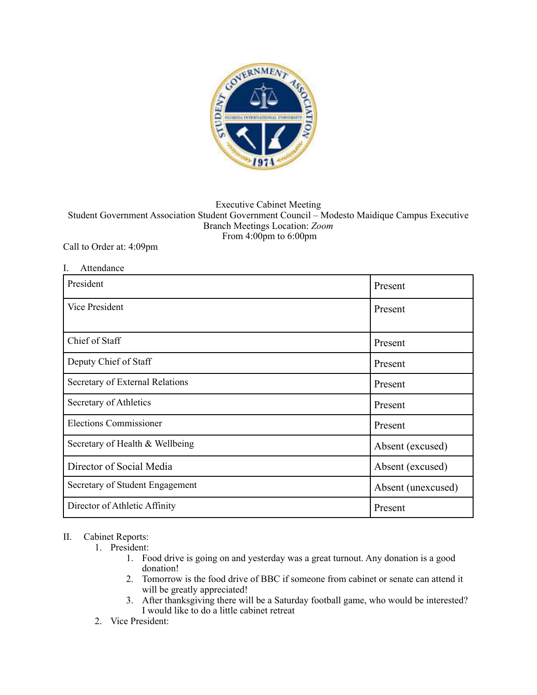

## Executive Cabinet Meeting Student Government Association Student Government Council – Modesto Maidique Campus Executive Branch Meetings Location: *Zoom*  From 4:00pm to 6:00pm

## Call to Order at: 4:09pm

| I.<br>Attendance                |                    |
|---------------------------------|--------------------|
| President                       | Present            |
| Vice President                  | Present            |
| Chief of Staff                  | Present            |
| Deputy Chief of Staff           | Present            |
| Secretary of External Relations | Present            |
| Secretary of Athletics          | Present            |
| <b>Elections Commissioner</b>   | Present            |
| Secretary of Health & Wellbeing | Absent (excused)   |
| Director of Social Media        | Absent (excused)   |
| Secretary of Student Engagement | Absent (unexcused) |
| Director of Athletic Affinity   | Present            |

## II. Cabinet Reports:

- 1. President:
	- 1. Food drive is going on and yesterday was a great turnout. Any donation is a good donation!
	- 2. Tomorrow is the food drive of BBC if someone from cabinet or senate can attend it will be greatly appreciated!
	- 3. After thanksgiving there will be a Saturday football game, who would be interested? I would like to do a little cabinet retreat
- 2. Vice President: